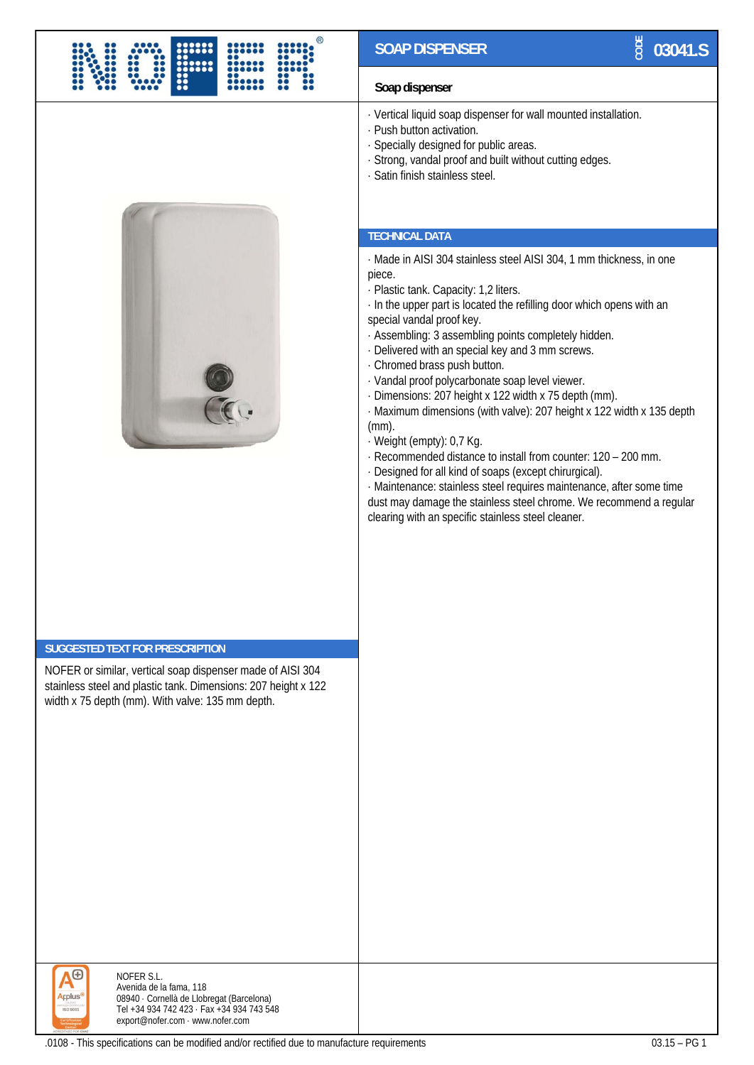|                                                                                                                                                                                                                                                         | COD<br><b>SOAP DISPENSER</b><br>03041.S                                                                                                                                                                                                                                                                                                                                                                                                                                                                                                                                                                                                                                                                                                                                                                                                                                                                                               |
|---------------------------------------------------------------------------------------------------------------------------------------------------------------------------------------------------------------------------------------------------------|---------------------------------------------------------------------------------------------------------------------------------------------------------------------------------------------------------------------------------------------------------------------------------------------------------------------------------------------------------------------------------------------------------------------------------------------------------------------------------------------------------------------------------------------------------------------------------------------------------------------------------------------------------------------------------------------------------------------------------------------------------------------------------------------------------------------------------------------------------------------------------------------------------------------------------------|
|                                                                                                                                                                                                                                                         |                                                                                                                                                                                                                                                                                                                                                                                                                                                                                                                                                                                                                                                                                                                                                                                                                                                                                                                                       |
|                                                                                                                                                                                                                                                         | Soap dispenser<br>· Vertical liquid soap dispenser for wall mounted installation.<br>· Push button activation.<br>· Specially designed for public areas.<br>· Strong, vandal proof and built without cutting edges.<br>· Satin finish stainless steel.                                                                                                                                                                                                                                                                                                                                                                                                                                                                                                                                                                                                                                                                                |
|                                                                                                                                                                                                                                                         |                                                                                                                                                                                                                                                                                                                                                                                                                                                                                                                                                                                                                                                                                                                                                                                                                                                                                                                                       |
|                                                                                                                                                                                                                                                         | <b>TECHNICAL DATA</b>                                                                                                                                                                                                                                                                                                                                                                                                                                                                                                                                                                                                                                                                                                                                                                                                                                                                                                                 |
|                                                                                                                                                                                                                                                         | · Made in AISI 304 stainless steel AISI 304, 1 mm thickness, in one<br>piece.<br>· Plastic tank. Capacity: 1,2 liters.<br>· In the upper part is located the refilling door which opens with an<br>special vandal proof key.<br>· Assembling: 3 assembling points completely hidden.<br>· Delivered with an special key and 3 mm screws.<br>· Chromed brass push button.<br>· Vandal proof polycarbonate soap level viewer.<br>· Dimensions: 207 height x 122 width x 75 depth (mm).<br>· Maximum dimensions (with valve): 207 height x 122 width x 135 depth<br>$(mm)$ .<br>· Weight (empty): 0,7 Kg.<br>- Recommended distance to install from counter: 120 - 200 mm.<br>· Designed for all kind of soaps (except chirurgical).<br>· Maintenance: stainless steel requires maintenance, after some time<br>dust may damage the stainless steel chrome. We recommend a regular<br>clearing with an specific stainless steel cleaner. |
|                                                                                                                                                                                                                                                         |                                                                                                                                                                                                                                                                                                                                                                                                                                                                                                                                                                                                                                                                                                                                                                                                                                                                                                                                       |
|                                                                                                                                                                                                                                                         |                                                                                                                                                                                                                                                                                                                                                                                                                                                                                                                                                                                                                                                                                                                                                                                                                                                                                                                                       |
| <b>SUGGESTED TEXT FOR PRESCRIPTION</b><br>NOFER or similar, vertical soap dispenser made of AISI 304<br>stainless steel and plastic tank. Dimensions: 207 height x 122<br>width x 75 depth (mm). With valve: 135 mm depth.<br>$\bigoplus$<br>NOFER S.L. |                                                                                                                                                                                                                                                                                                                                                                                                                                                                                                                                                                                                                                                                                                                                                                                                                                                                                                                                       |

**Applus<sup>®</sup> ISO 9001**